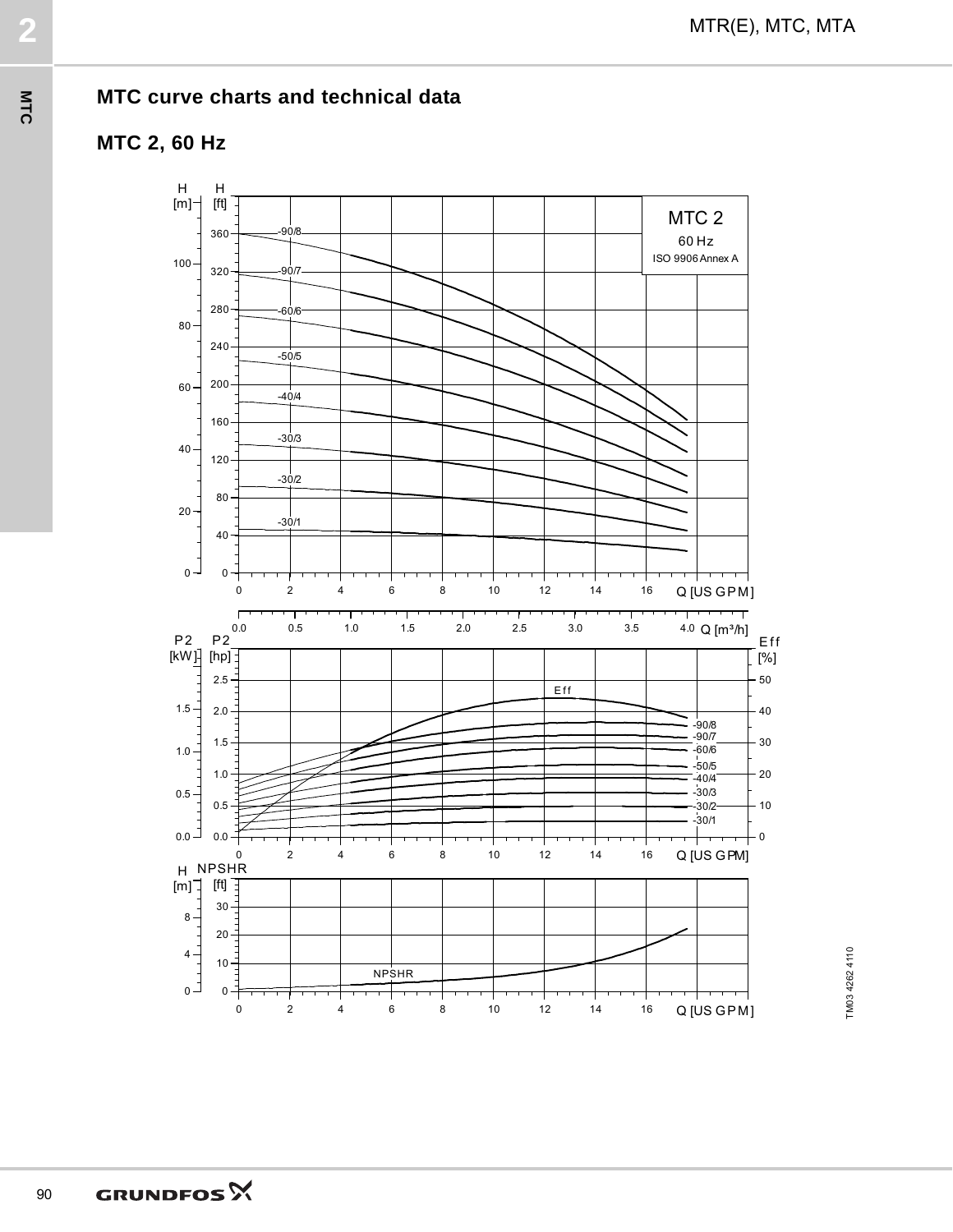

MTR(E), MTC, MTA **2**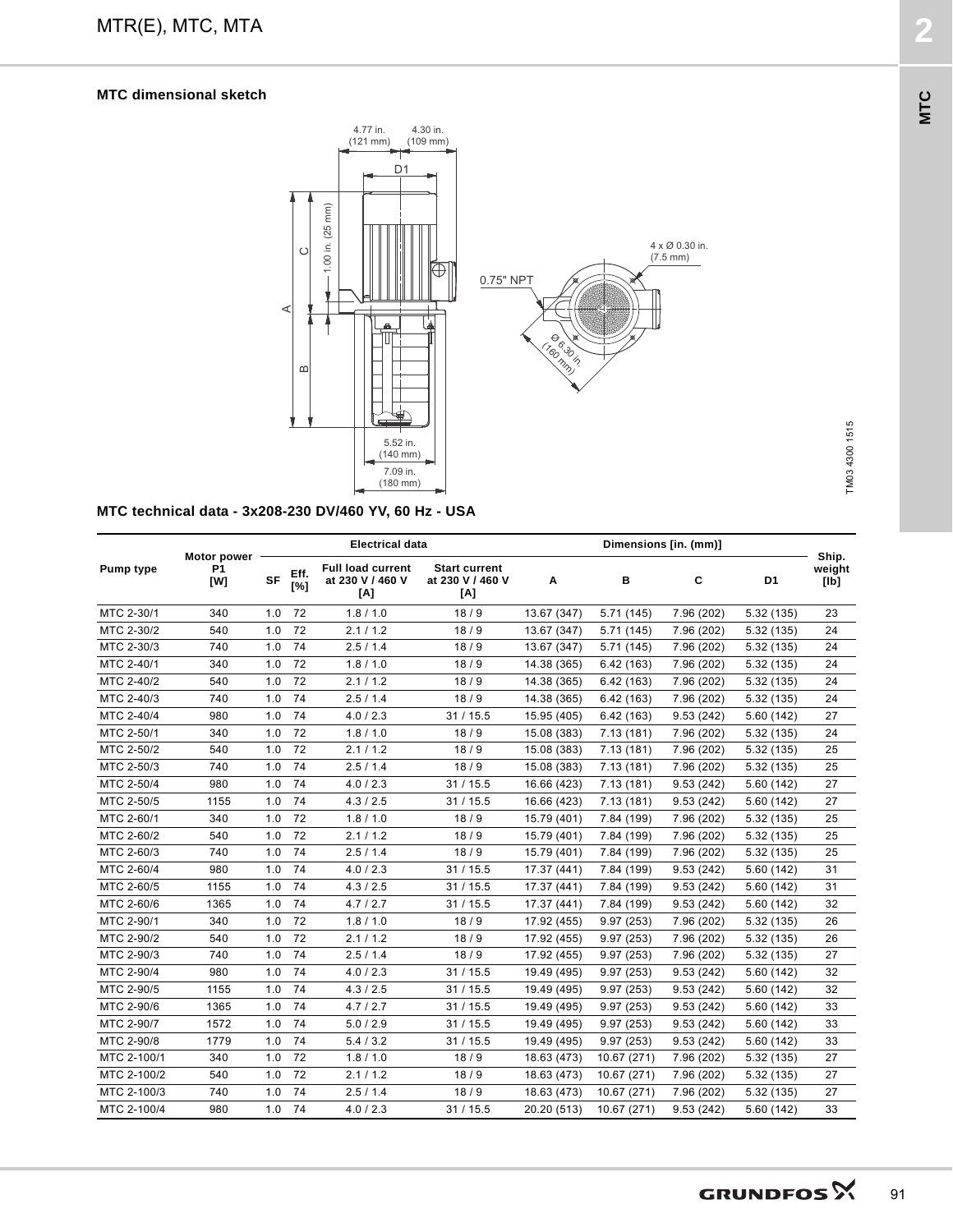

MTR(E), MTC, MTA **2**

**MTC technical data - 3x208-230 DV/460 YV, 60 Hz - USA**

| <b>Pump type</b> | Motor power<br>P <sub>1</sub><br>[W] | <b>Electrical data</b> |             |                                                     |                                                 | Dimensions [in. (mm)] |             |            |            |                         |
|------------------|--------------------------------------|------------------------|-------------|-----------------------------------------------------|-------------------------------------------------|-----------------------|-------------|------------|------------|-------------------------|
|                  |                                      | <b>SF</b>              | Eff.<br>[%] | <b>Full load current</b><br>at 230 V / 460 V<br>[A] | <b>Start current</b><br>at 230 V / 460 V<br>[A] | A                     | в           | C          | D1         | Ship.<br>weight<br>[lb] |
| MTC 2-30/1       | 340                                  | 1.0                    | 72          | 1.8 / 1.0                                           | 18/9                                            | 13.67 (347)           | 5.71(145)   | 7.96 (202) | 5.32(135)  | 23                      |
| MTC 2-30/2       | 540                                  | 1.0                    | 72          | 2.1 / 1.2                                           | 18/9                                            | 13.67 (347)           | 5.71(145)   | 7.96 (202) | 5.32(135)  | 24                      |
| MTC 2-30/3       | 740                                  | 1.0                    | 74          | 2.5/1.4                                             | 18/9                                            | 13.67 (347)           | 5.71 (145)  | 7.96 (202) | 5.32(135)  | 24                      |
| MTC 2-40/1       | 340                                  | 1.0                    | 72          | 1.8 / 1.0                                           | 18/9                                            | 14.38 (365)           | 6.42(163)   | 7.96 (202) | 5.32(135)  | 24                      |
| MTC 2-40/2       | 540                                  | 1.0                    | 72          | 2.1 / 1.2                                           | 18/9                                            | 14.38 (365)           | 6.42(163)   | 7.96 (202) | 5.32(135)  | 24                      |
| MTC 2-40/3       | 740                                  | 1.0                    | 74          | 2.5/1.4                                             | 18/9                                            | 14.38 (365)           | 6.42(163)   | 7.96 (202) | 5.32(135)  | 24                      |
| MTC 2-40/4       | 980                                  | 1.0                    | 74          | 4.0 / 2.3                                           | 31/15.5                                         | 15.95 (405)           | 6.42(163)   | 9.53(242)  | 5.60 (142) | 27                      |
| MTC 2-50/1       | 340                                  | 1.0                    | 72          | 1.8 / 1.0                                           | 18/9                                            | 15.08 (383)           | 7.13(181)   | 7.96 (202) | 5.32 (135) | 24                      |
| MTC 2-50/2       | 540                                  | 1.0                    | 72          | 2.1 / 1.2                                           | 18/9                                            | 15.08 (383)           | 7.13(181)   | 7.96 (202) | 5.32(135)  | 25                      |
| MTC 2-50/3       | 740                                  | 1.0                    | 74          | 2.5/1.4                                             | 18/9                                            | 15.08 (383)           | 7.13(181)   | 7.96 (202) | 5.32(135)  | 25                      |
| MTC 2-50/4       | 980                                  | 1.0                    | 74          | 4.0 / 2.3                                           | 31/15.5                                         | 16.66 (423)           | 7.13(181)   | 9.53(242)  | 5.60(142)  | 27                      |
| MTC 2-50/5       | 1155                                 | 1.0                    | 74          | 4.3 / 2.5                                           | 31/15.5                                         | 16.66 (423)           | 7.13(181)   | 9.53(242)  | 5.60 (142) | 27                      |
| MTC 2-60/1       | 340                                  | 1.0                    | 72          | 1.8 / 1.0                                           | 18/9                                            | 15.79 (401)           | 7.84 (199)  | 7.96 (202) | 5.32(135)  | 25                      |
| MTC 2-60/2       | 540                                  | 1.0                    | 72          | 2.1 / 1.2                                           | 18/9                                            | 15.79 (401)           | 7.84 (199)  | 7.96 (202) | 5.32(135)  | 25                      |
| MTC 2-60/3       | 740                                  | 1.0                    | 74          | 2.5/1.4                                             | 18/9                                            | 15.79 (401)           | 7.84 (199)  | 7.96 (202) | 5.32(135)  | 25                      |
| MTC 2-60/4       | 980                                  | 1.0                    | 74          | 4.0 / 2.3                                           | 31/15.5                                         | 17.37 (441)           | 7.84 (199)  | 9.53(242)  | 5.60(142)  | 31                      |
| MTC 2-60/5       | 1155                                 | 1.0                    | 74          | 4.3 / 2.5                                           | 31/15.5                                         | 17.37 (441)           | 7.84 (199)  | 9.53(242)  | 5.60 (142) | 31                      |
| MTC 2-60/6       | 1365                                 | 1.0                    | 74          | 4.7/2.7                                             | 31/15.5                                         | 17.37 (441)           | 7.84 (199)  | 9.53(242)  | 5.60(142)  | 32                      |
| MTC 2-90/1       | 340                                  | 1.0                    | 72          | 1.8 / 1.0                                           | 18/9                                            | 17.92 (455)           | 9.97(253)   | 7.96 (202) | 5.32(135)  | 26                      |
| MTC 2-90/2       | 540                                  | 1.0                    | 72          | 2.1 / 1.2                                           | 18/9                                            | 17.92 (455)           | 9.97(253)   | 7.96 (202) | 5.32(135)  | 26                      |
| MTC 2-90/3       | 740                                  | 1.0                    | 74          | 2.5/1.4                                             | 18/9                                            | 17.92 (455)           | 9.97(253)   | 7.96 (202) | 5.32(135)  | 27                      |
| MTC 2-90/4       | 980                                  | 1.0                    | 74          | 4.0 / 2.3                                           | 31/15.5                                         | 19.49 (495)           | 9.97(253)   | 9.53(242)  | 5.60(142)  | 32                      |
| MTC 2-90/5       | 1155                                 | 1.0                    | 74          | 4.3 / 2.5                                           | 31/15.5                                         | 19.49 (495)           | 9.97(253)   | 9.53(242)  | 5.60 (142) | 32                      |
| MTC 2-90/6       | 1365                                 | 1.0                    | 74          | 4.7/2.7                                             | 31/15.5                                         | 19.49 (495)           | 9.97(253)   | 9.53(242)  | 5.60 (142) | 33                      |
| MTC 2-90/7       | 1572                                 | 1.0                    | 74          | 5.0 / 2.9                                           | 31/15.5                                         | 19.49 (495)           | 9.97(253)   | 9.53(242)  | 5.60 (142) | 33                      |
| MTC 2-90/8       | 1779                                 | 1.0                    | 74          | 5.4 / 3.2                                           | 31/15.5                                         | 19.49 (495)           | 9.97(253)   | 9.53(242)  | 5.60 (142) | 33                      |
| MTC 2-100/1      | 340                                  | 1.0                    | 72          | 1.8 / 1.0                                           | 18/9                                            | 18.63 (473)           | 10.67 (271) | 7.96 (202) | 5.32 (135) | 27                      |
| MTC 2-100/2      | 540                                  | 1.0                    | 72          | 2.1 / 1.2                                           | 18/9                                            | 18.63 (473)           | 10.67 (271) | 7.96 (202) | 5.32(135)  | 27                      |
| MTC 2-100/3      | 740                                  | 1.0                    | 74          | 2.5/1.4                                             | 18/9                                            | 18.63 (473)           | 10.67 (271) | 7.96 (202) | 5.32 (135) | 27                      |
| MTC 2-100/4      | 980                                  | 1.0                    | 74          | 4.0 / 2.3                                           | 31/15.5                                         | 20.20 (513)           | 10.67 (271) | 9.53(242)  | 5.60(142)  | 33                      |

**MTC**

TM03 4300 1515

TM03 4300 1515